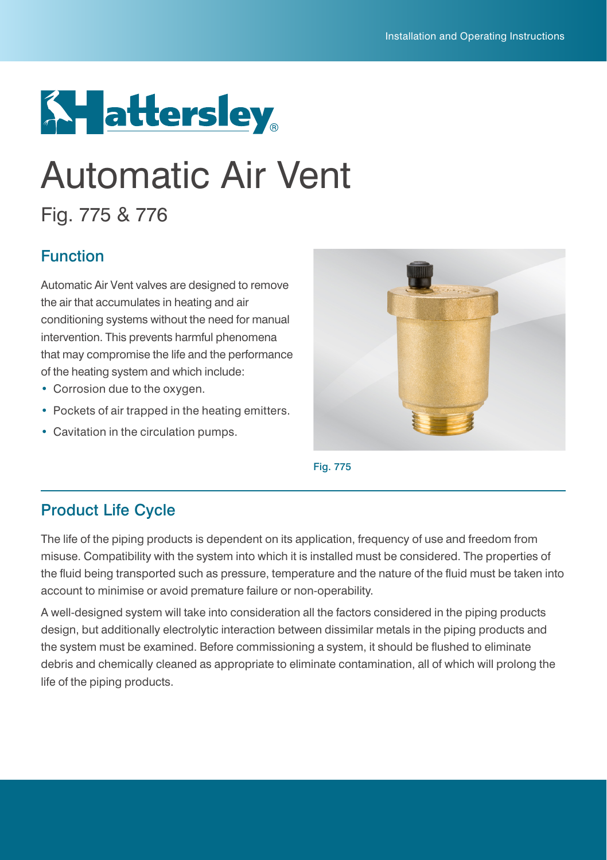

# Automatic Air Vent

# Fig. 775 & 776

### Function

Automatic Air Vent valves are designed to remove the air that accumulates in heating and air conditioning systems without the need for manual intervention. This prevents harmful phenomena that may compromise the life and the performance of the heating system and which include:

- **•** Corrosion due to the oxygen.
- **•** Pockets of air trapped in the heating emitters.
- **•** Cavitation in the circulation pumps.





#### Product Life Cycle

The life of the piping products is dependent on its application, frequency of use and freedom from misuse. Compatibility with the system into which it is installed must be considered. The properties of the fluid being transported such as pressure, temperature and the nature of the fluid must be taken into account to minimise or avoid premature failure or non-operability.

A well-designed system will take into consideration all the factors considered in the piping products design, but additionally electrolytic interaction between dissimilar metals in the piping products and the system must be examined. Before commissioning a system, it should be flushed to eliminate debris and chemically cleaned as appropriate to eliminate contamination, all of which will prolong the life of the piping products.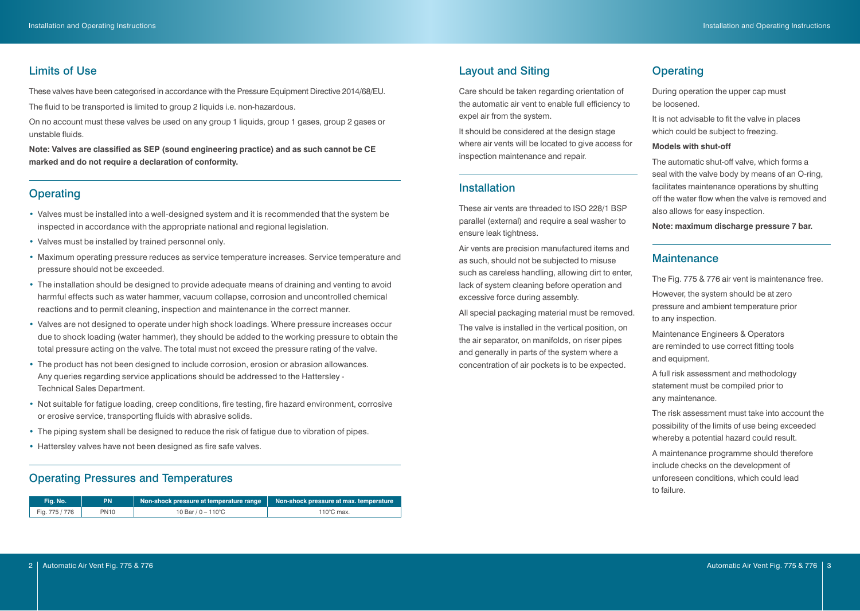#### Limits of Use

These valves have been categorised in accordance with the Pressure Equipment Directive 2014/68/EU.

The fluid to be transported is limited to group 2 liquids i.e. non-hazardous.

On no account must these valves be used on any group 1 liquids, group 1 gases, group 2 gases or unstable fluids.

**Note: Valves are classified as SEP (sound engineering practice) and as such cannot be CE marked and do not require a declaration of conformity.**

# **Operating Installation**

- **•** Valves must be installed into a well-designed system and it is recommended that the system be inspected in accordance with the appropriate national and regional legislation.
- **•** Valves must be installed by trained personnel only.
- **•** Maximum operating pressure reduces as service temperature increases. Service temperature and pressure should not be exceeded.
- **•** The installation should be designed to provide adequate means of draining and venting to avoid harmful effects such as water hammer, vacuum collapse, corrosion and uncontrolled chemical reactions and to permit cleaning, inspection and maintenance in the correct manner.
- **•** Valves are not designed to operate under high shock loadings. Where pressure increases occur due to shock loading (water hammer), they should be added to the working pressure to obtain the total pressure acting on the valve. The total must not exceed the pressure rating of the valve.
- **•** The product has not been designed to include corrosion, erosion or abrasion allowances. Any queries regarding service applications should be addressed to the Hattersley - Technical Sales Department.
- **•** Not suitable for fatigue loading, creep conditions, fire testing, fire hazard environment, corrosive or erosive service, transporting fluids with abrasive solids.
- **•** The piping system shall be designed to reduce the risk of fatigue due to vibration of pipes.
- **•** Hattersley valves have not been designed as fire safe valves.

#### Operating Pressures and Temperatures

| Fig. No.       | PN          | Non-shock pressure at temperature range | Non-shock pressure at max. temperature |
|----------------|-------------|-----------------------------------------|----------------------------------------|
| Fig. 775 / 776 | <b>PN10</b> | 10 Bar / 0 $-$ 110°C                    | $110^{\circ}$ C max.                   |

#### Layout and Siting **Canadian Contract Contract Contract Contract Contract Contract Contract Contract Contract Contract Contract Contract Contract Contract Contract Contract Contract Contract Contract Contract Contract Contr**

Care should be taken regarding orientation of the automatic air vent to enable full efficiency to expel air from the system.

It should be considered at the design stage where air vents will be located to give access for inspection maintenance and repair.

These air vents are threaded to ISO 228/1 BSP parallel (external) and require a seal washer to ensure leak tightness.

Air vents are precision manufactured items and as such, should not be subjected to misuse such as careless handling, allowing dirt to enter, lack of system cleaning before operation and excessive force during assembly.

All special packaging material must be removed. The valve is installed in the vertical position, on the air separator, on manifolds, on riser pipes and generally in parts of the system where a concentration of air pockets is to be expected.

During operation the upper cap must be loosened.

It is not advisable to fit the valve in places which could be subject to freezing.

#### **Models with shut-off**

The automatic shut-off valve, which forms a seal with the valve body by means of an O-ring, facilitates maintenance operations by shutting off the water flow when the valve is removed and also allows for easy inspection.

**Note: maximum discharge pressure 7 bar.**

#### **Maintenance**

The Fig. 775 & 776 air vent is maintenance free.

However, the system should be at zero pressure and ambient temperature prior to any inspection.

Maintenance Engineers & Operators are reminded to use correct fitting tools and equipment.

A full risk assessment and methodology statement must be compiled prior to any maintenance.

The risk assessment must take into account the possibility of the limits of use being exceeded whereby a potential hazard could result.

A maintenance programme should therefore include checks on the development of unforeseen conditions, which could lead to failure.